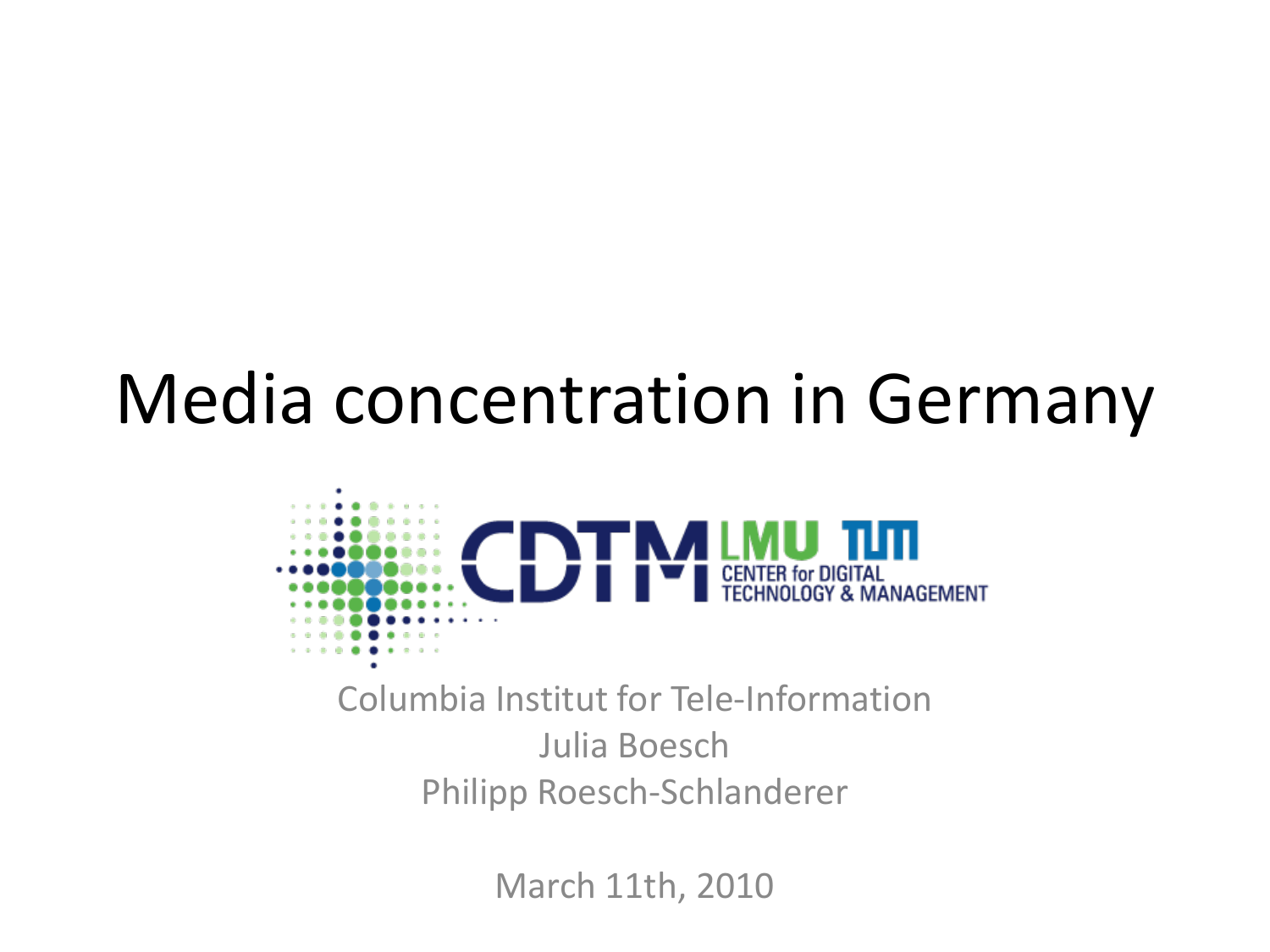#### Media concentration in Germany



Columbia Institut for Tele-Information Julia Boesch Philipp Roesch-Schlanderer

March 11th, 2010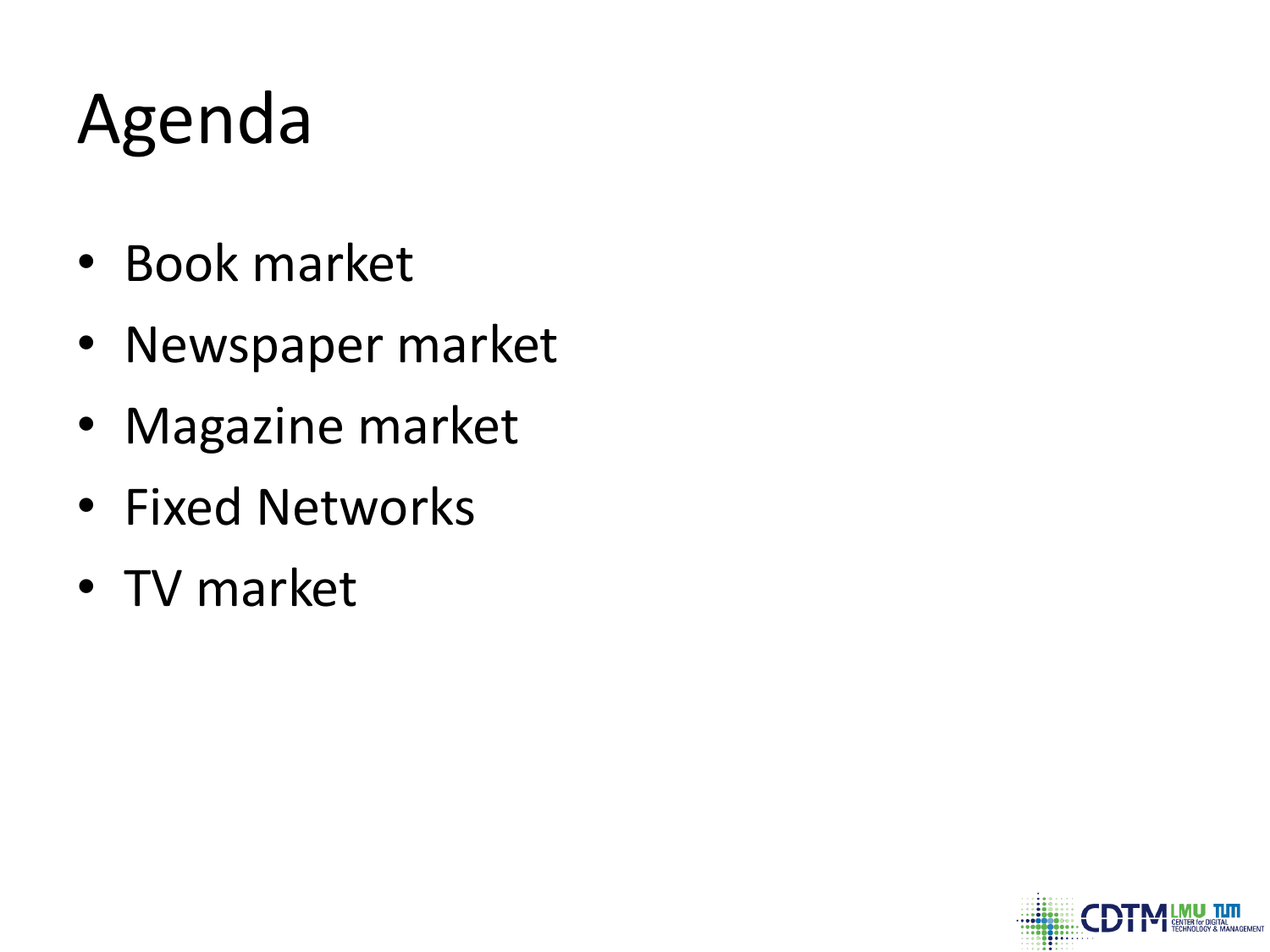# Agenda

- Book market
- Newspaper market
- Magazine market
- Fixed Networks
- TV market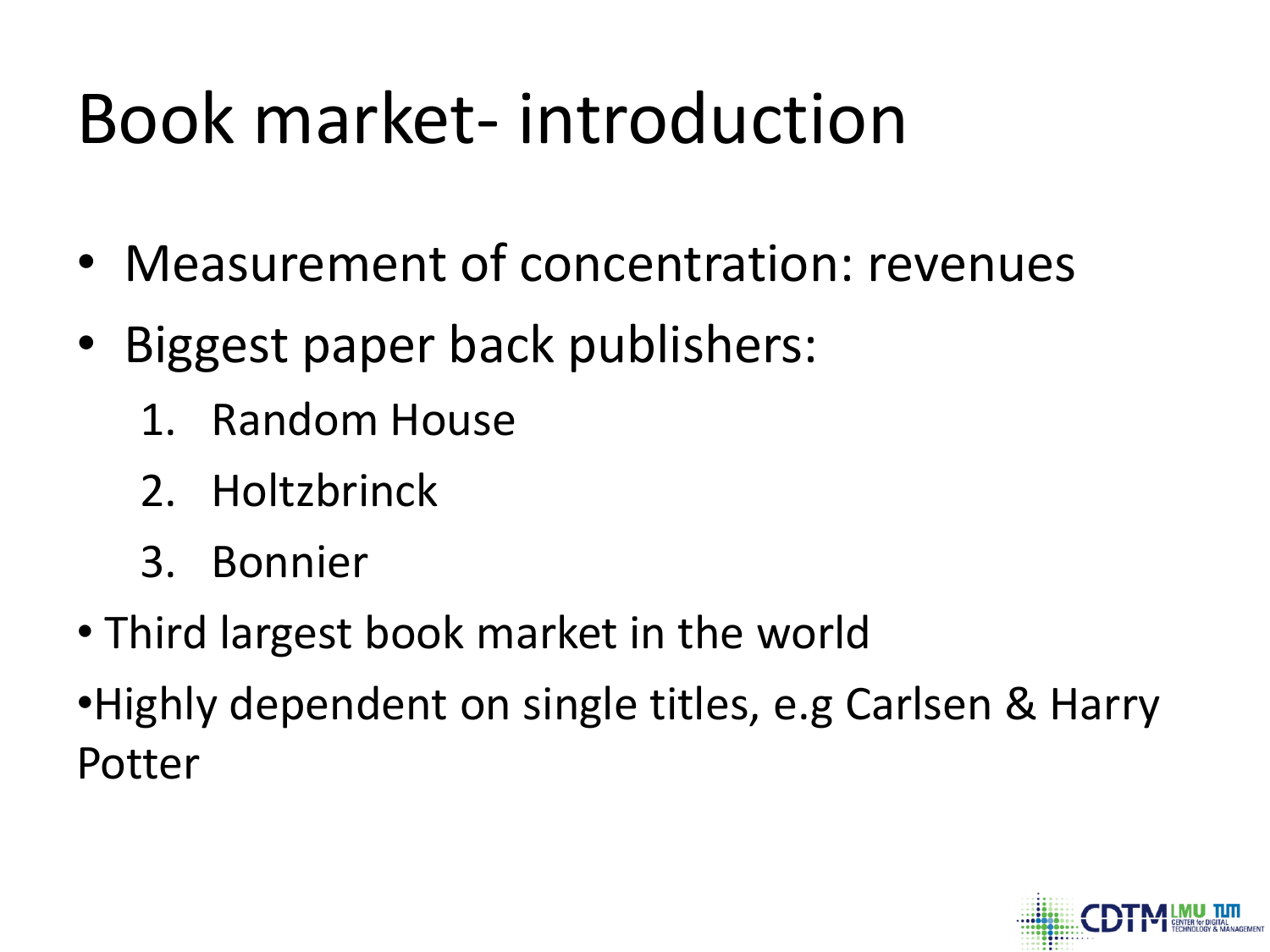# Book market- introduction

- Measurement of concentration: revenues
- Biggest paper back publishers:
	- 1. Random House
	- 2. Holtzbrinck
	- 3. Bonnier
- Third largest book market in the world
- •Highly dependent on single titles, e.g Carlsen & Harry Potter

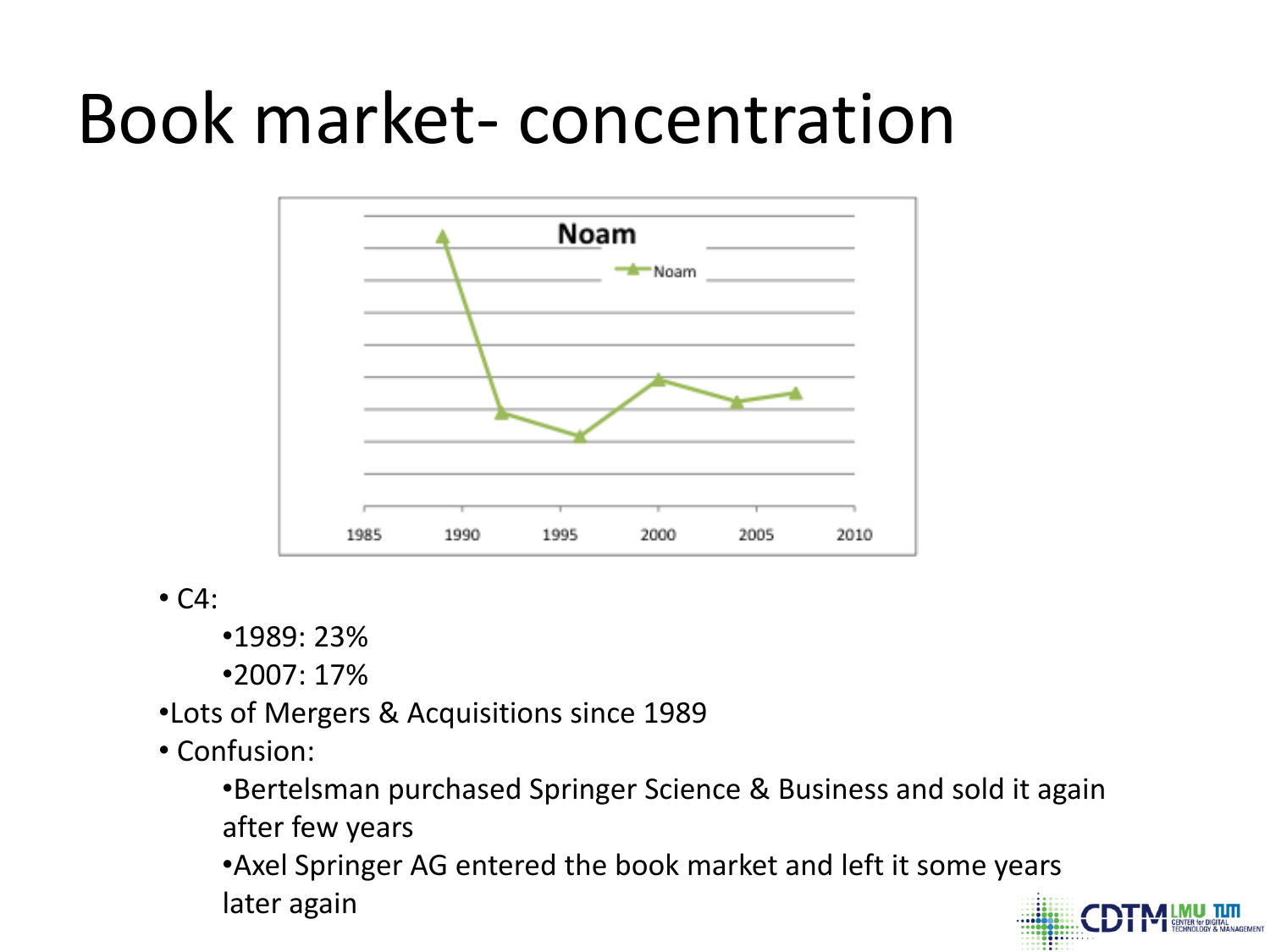#### Book market- concentration



 $\cdot$  C4:

•1989: 23%

•2007: 17%

•Lots of Mergers & Acquisitions since 1989

• Confusion:

•Bertelsman purchased Springer Science & Business and sold it again after few years

•Axel Springer AG entered the book market and left it some years later again

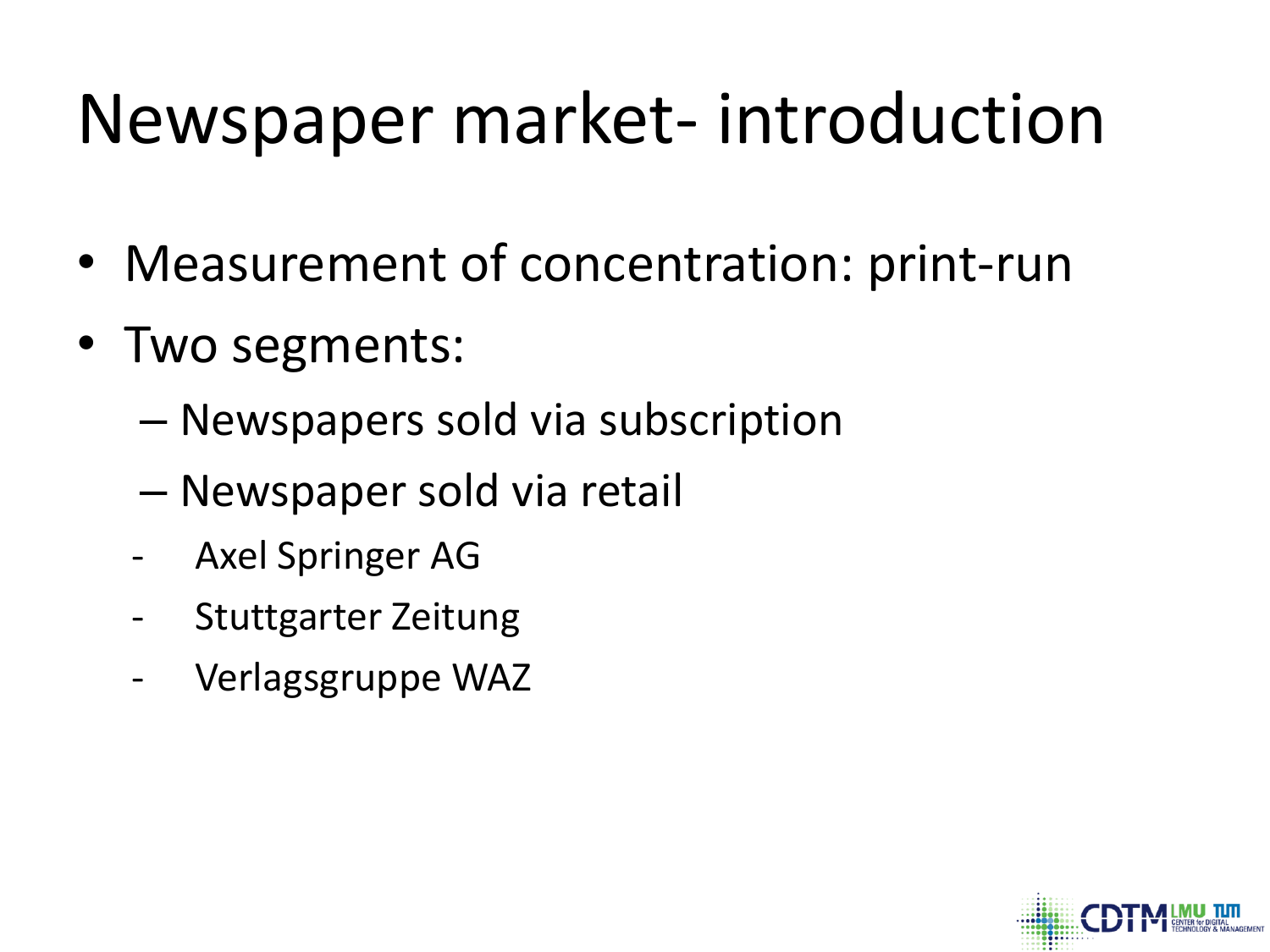# Newspaper market- introduction

- Measurement of concentration: print-run
- Two segments:
	- Newspapers sold via subscription
	- Newspaper sold via retail
	- Axel Springer AG
	- Stuttgarter Zeitung
	- Verlagsgruppe WAZ

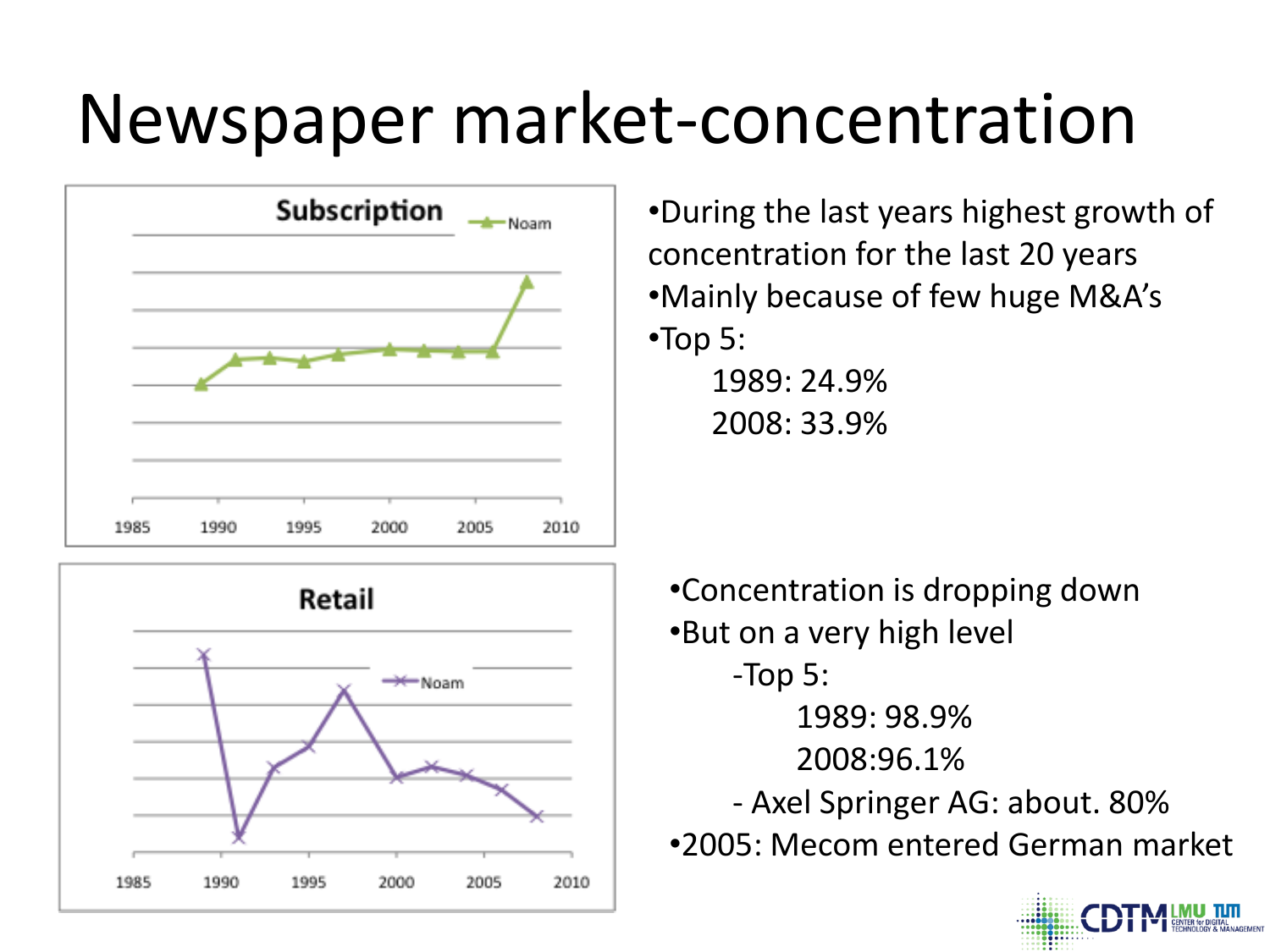## Newspaper market-concentration





•During the last years highest growth of concentration for the last 20 years •Mainly because of few huge M&A's •Top 5: 1989: 24.9%

2008: 33.9%

•Concentration is dropping down •But on a very high level -Top 5: 1989: 98.9% 2008:96.1% - Axel Springer AG: about. 80% •2005: Mecom entered German market

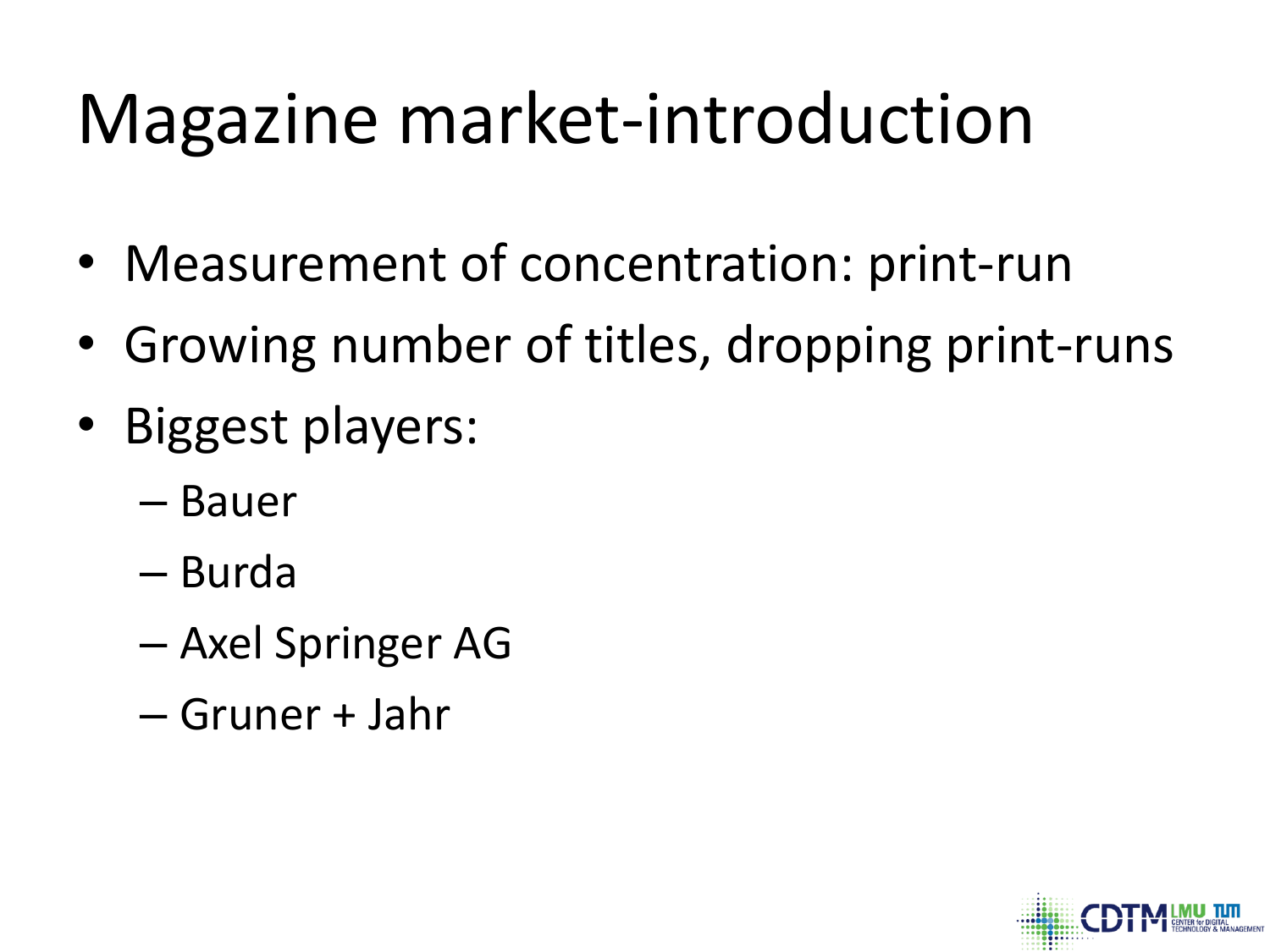# Magazine market-introduction

- Measurement of concentration: print-run
- Growing number of titles, dropping print-runs
- Biggest players:
	- Bauer
	- Burda
	- Axel Springer AG
	- Gruner + Jahr

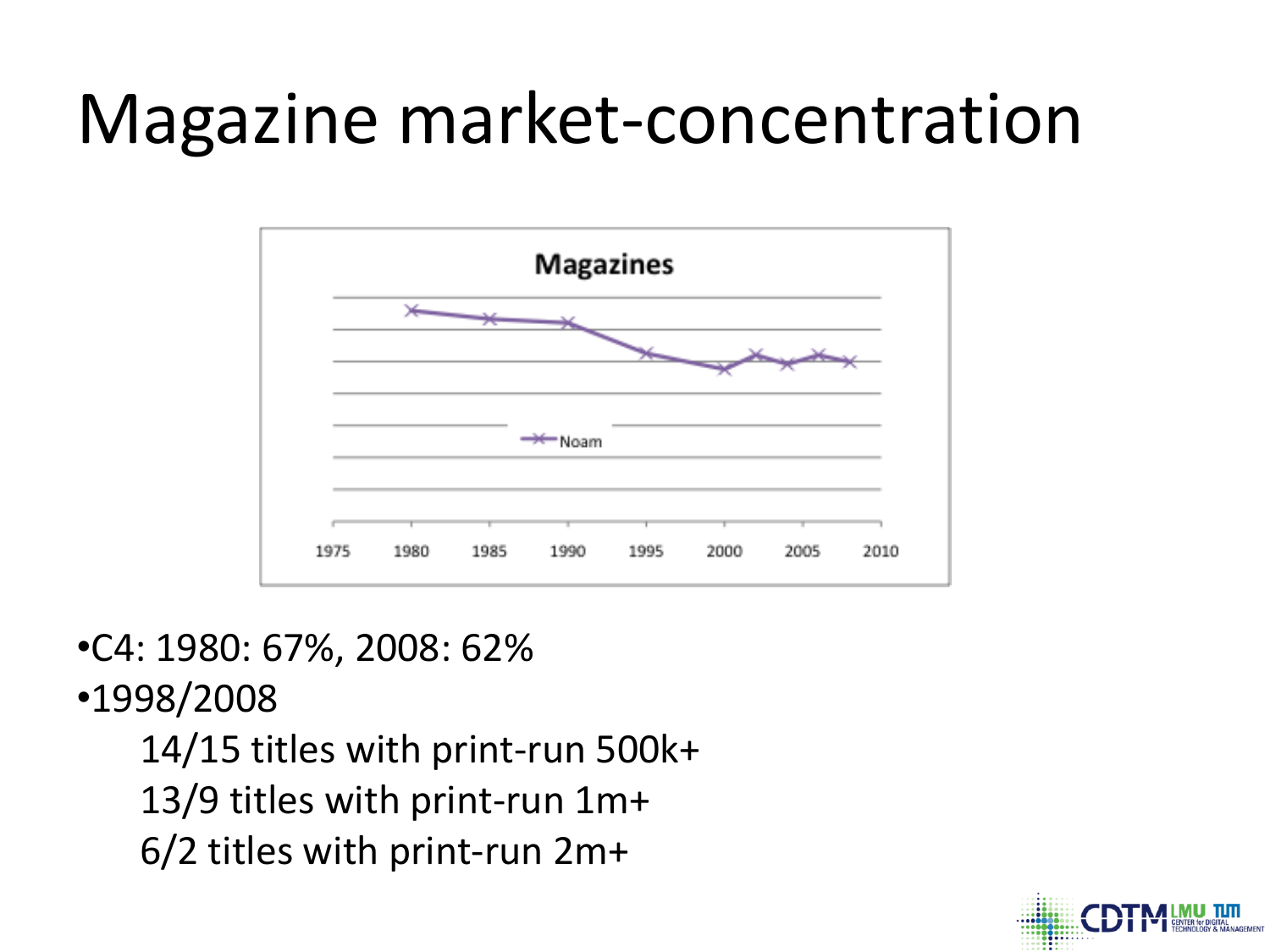## Magazine market-concentration



•C4: 1980: 67%, 2008: 62%

•1998/2008

14/15 titles with print-run 500k+ 13/9 titles with print-run 1m+ 6/2 titles with print-run 2m+

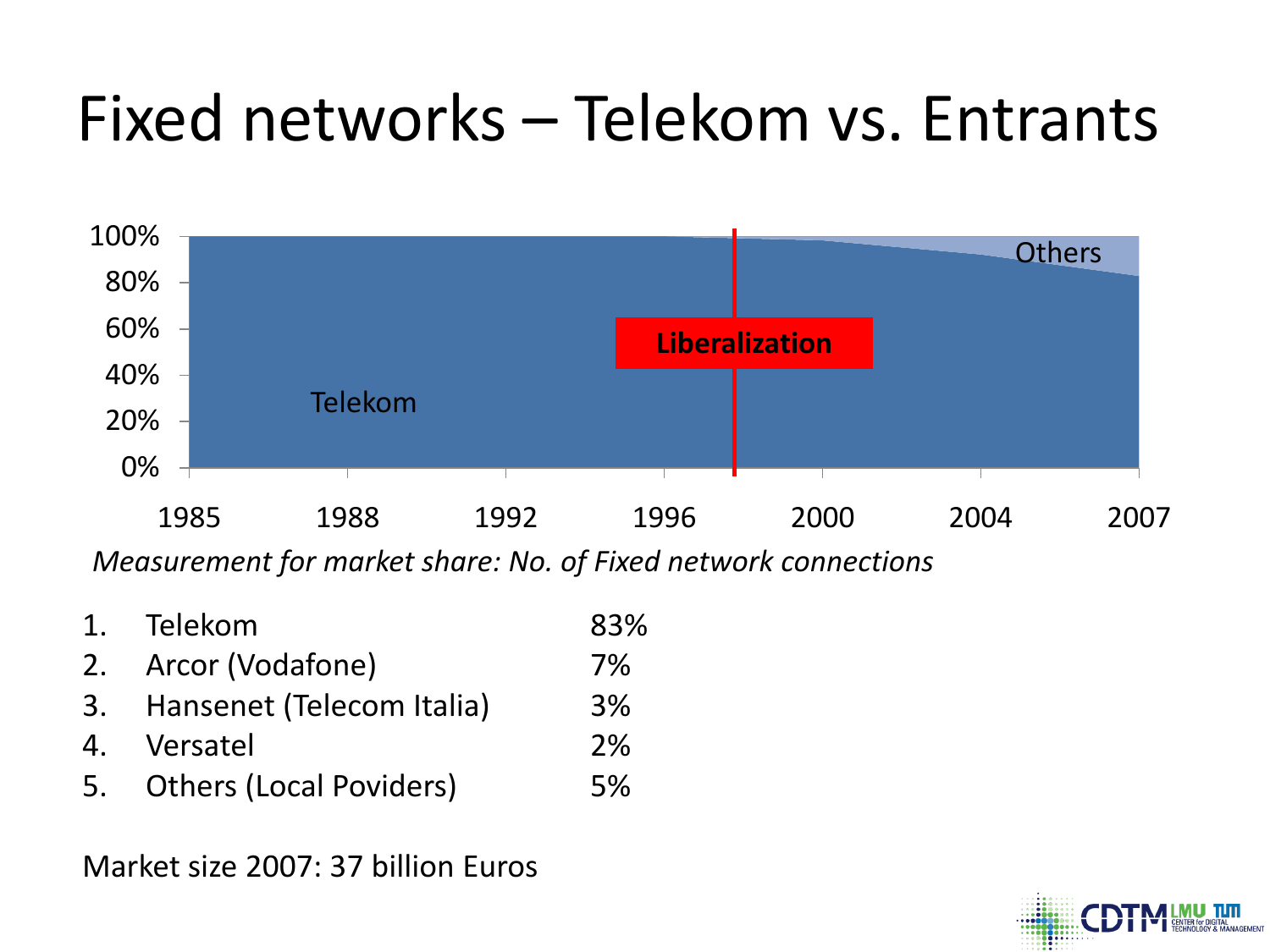#### Fixed networks – Telekom vs. Entrants



*Measurement for market share: No. of Fixed network connections*

1. Telekom 83% 2. Arcor (Vodafone) 7% 3. Hansenet (Telecom Italia) 3% 4. Versatel 2% 5. Others (Local Poviders) 5%

Market size 2007: 37 billion Euros

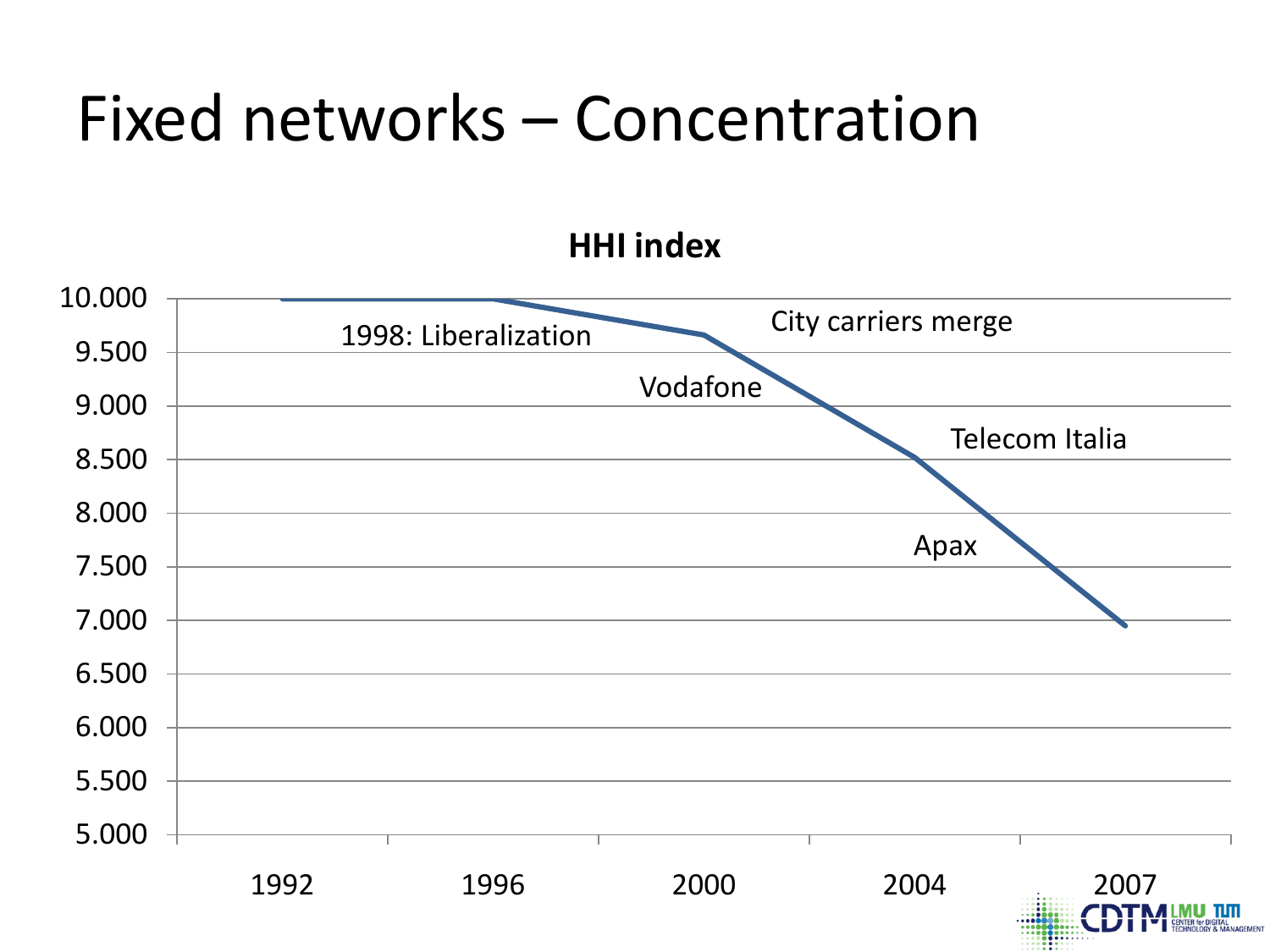#### Fixed networks – Concentration

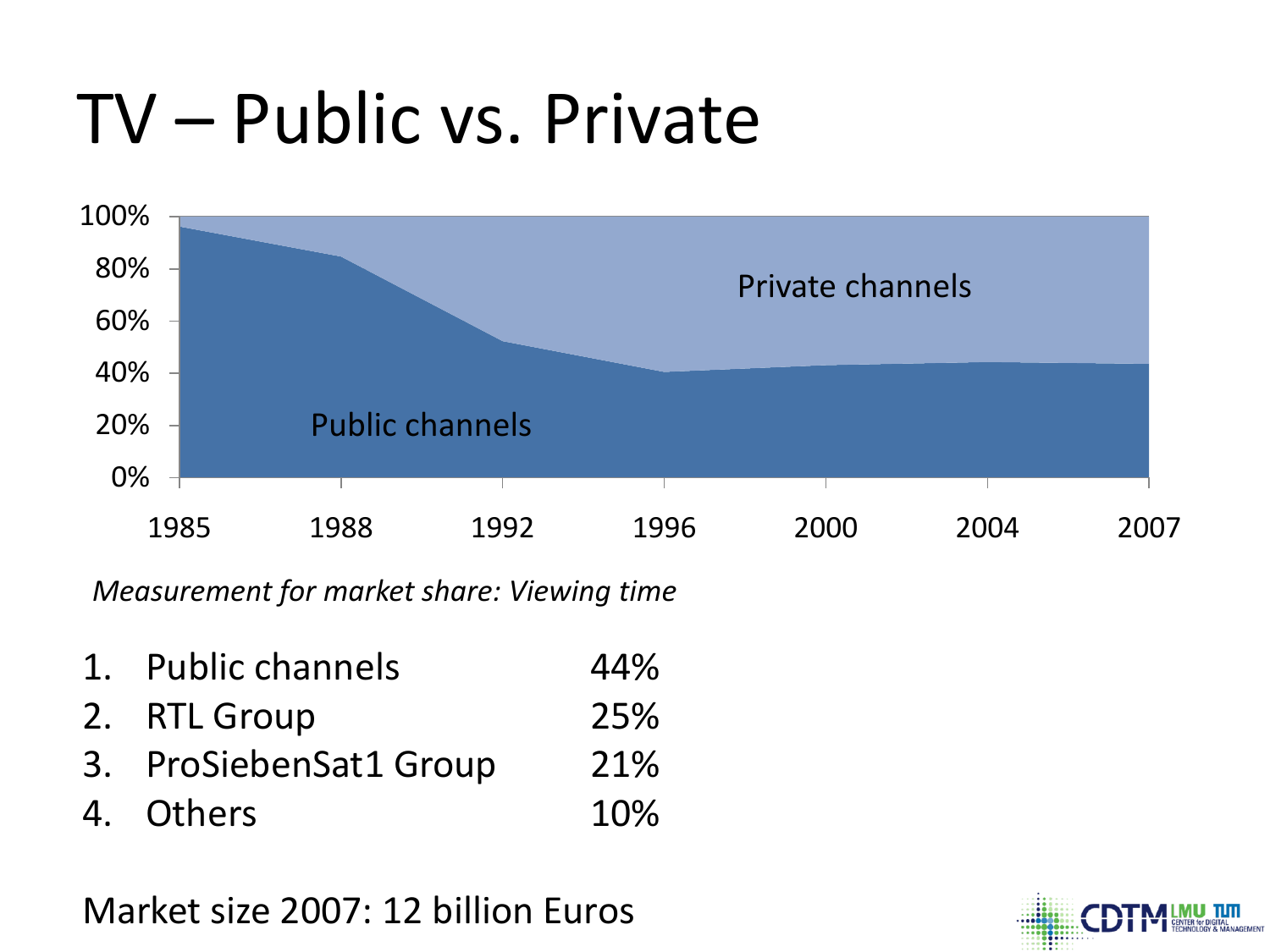# TV – Public vs. Private



*Measurement for market share: Viewing time*

- 1. Public channels 44%
- 2. RTL Group 25%
- 3. ProSiebenSat1 Group 21%
- 4. Others 10%

Market size 2007: 12 billion Euros

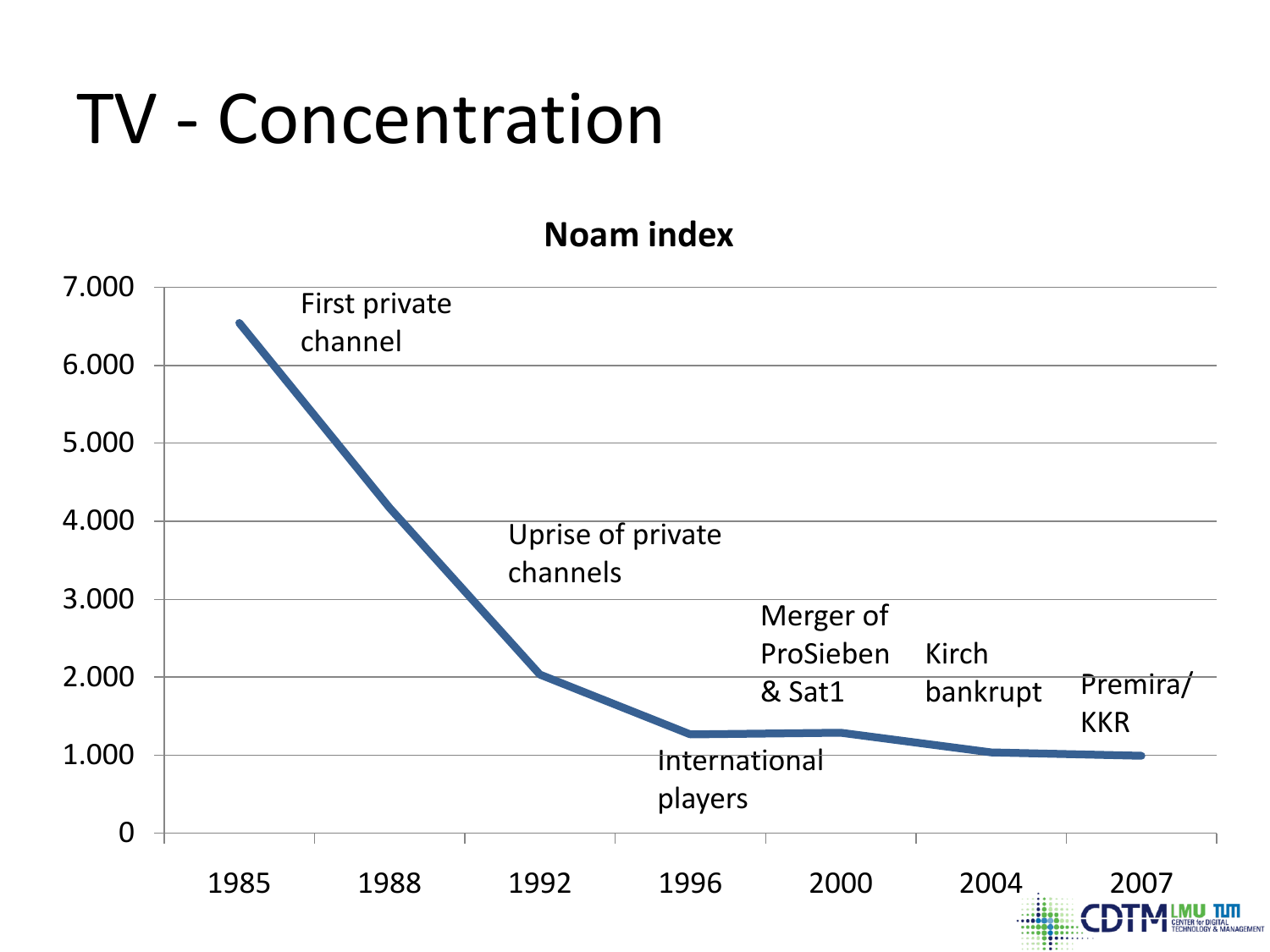#### TV - Concentration

#### **Noam index**